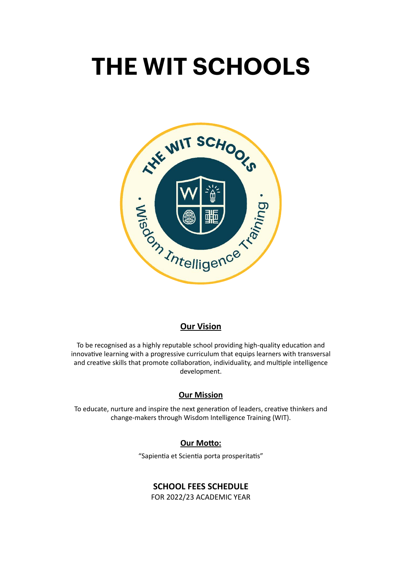# **THE WIT SCHOOLS**



#### **Our Vision**

To be recognised as a highly reputable school providing high-quality education and innovative learning with a progressive curriculum that equips learners with transversal and creative skills that promote collaboration, individuality, and multiple intelligence development.

#### **Our Mission**

To educate, nurture and inspire the next generation of leaders, creative thinkers and change-makers through Wisdom Intelligence Training (WIT).

### **Our Motto:**

"Sapientia et Scientia porta prosperitatis"

# **SCHOOL FEES SCHEDULE**

FOR 2022/23 ACADEMIC YEAR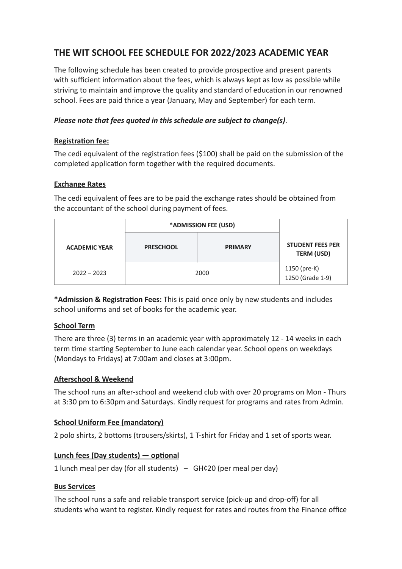# **THE WIT SCHOOL FEE SCHEDULE FOR 2022/2023 ACADEMIC YEAR**

The following schedule has been created to provide prospective and present parents with sufficient information about the fees, which is always kept as low as possible while striving to maintain and improve the quality and standard of education in our renowned school. Fees are paid thrice a year (January, May and September) for each term.

#### *Please note that fees quoted in this schedule are subject to change(s)*.

#### **Registration fee:**

The cedi equivalent of the registration fees (\$100) shall be paid on the submission of the completed application form together with the required documents.

#### **Exchange Rates**

The cedi equivalent of fees are to be paid the exchange rates should be obtained from the accountant of the school during payment of fees.

|                      | *ADMISSION FEE (USD) |                |                                              |
|----------------------|----------------------|----------------|----------------------------------------------|
| <b>ACADEMIC YEAR</b> | <b>PRESCHOOL</b>     | <b>PRIMARY</b> | <b>STUDENT FEES PER</b><br><b>TERM (USD)</b> |
| $2022 - 2023$        | 2000                 |                | 1150 (pre-K)<br>$1250$ (Grade 1-9)           |

**\*Admission & Registration Fees:** This is paid once only by new students and includes school uniforms and set of books for the academic year.

#### **School Term**

There are three (3) terms in an academic year with approximately 12 - 14 weeks in each term time starting September to June each calendar year. School opens on weekdays (Mondays to Fridays) at 7:00am and closes at 3:00pm.

#### **Afterschool & Weekend**

The school runs an after-school and weekend club with over 20 programs on Mon - Thurs at 3:30 pm to 6:30pm and Saturdays. Kindly request for programs and rates from Admin.

# **School Uniform Fee (mandatory)**

2 polo shirts, 2 bottoms (trousers/skirts), 1 T-shirt for Friday and 1 set of sports wear.

#### **Lunch fees (Day students) — optional**

1 lunch meal per day (for all students)  $-$  GH¢20 (per meal per day)

#### **Bus Services**

The school runs a safe and reliable transport service (pick-up and drop-off) for all students who want to register. Kindly request for rates and routes from the Finance office